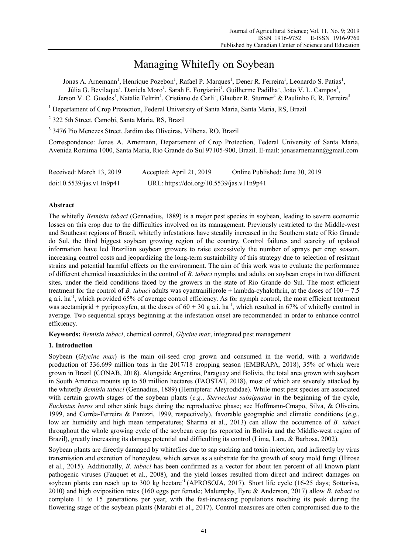# Managing Whitefly on Soybean

Jonas A. Arnemann<sup>1</sup>, Henrique Pozebon<sup>1</sup>, Rafael P. Marques<sup>1</sup>, Dener R. Ferreira<sup>1</sup>, Leonardo S. Patias<sup>1</sup>, Júlia G. Bevilaqua<sup>1</sup>, Daniela Moro<sup>1</sup>, Sarah E. Forgiarini<sup>1</sup>, Guilherme Padilha<sup>1</sup>, João V. L. Campos<sup>1</sup>, Jerson V. C. Guedes<sup>1</sup>, Natalie Feltrin<sup>1</sup>, Cristiano de Carli<sup>1</sup>, Glauber R. Sturmer<sup>2</sup> & Paulinho E. R. Ferreira<sup>3</sup>

<sup>1</sup> Departament of Crop Protection, Federal University of Santa Maria, Santa Maria, RS, Brazil

<sup>2</sup> 322 5th Street, Camobi, Santa Maria, RS, Brazil

3 3476 Pio Menezes Street, Jardim das Oliveiras, Vilhena, RO, Brazil

Correspondence: Jonas A. Arnemann, Departament of Crop Protection, Federal University of Santa Maria, Avenida Roraima 1000, Santa Maria, Rio Grande do Sul 97105-900, Brazil. E-mail: jonasarnemann@gmail.com

| Received: March 13, 2019 | Accepted: April 21, 2019                  | Online Published: June 30, 2019 |
|--------------------------|-------------------------------------------|---------------------------------|
| doi:10.5539/jas.v11n9p41 | URL: https://doi.org/10.5539/jas.v11n9p41 |                                 |

## **Abstract**

The whitefly *Bemisia tabaci* (Gennadius, 1889) is a major pest species in soybean, leading to severe economic losses on this crop due to the difficulties involved on its management. Previously restricted to the Middle-west and Southeast regions of Brazil, whitefly infestations have steadily increased in the Southern state of Rio Grande do Sul, the third biggest soybean growing region of the country. Control failures and scarcity of updated information have led Brazilian soybean growers to raise excessively the number of sprays per crop season, increasing control costs and jeopardizing the long-term sustainbility of this strategy due to selection of resistant strains and potential harmful effects on the environment. The aim of this work was to evaluate the performance of different chemical insecticides in the control of *B. tabaci* nymphs and adults on soybean crops in two different sites*,* under the field conditions faced by the growers in the state of Rio Grande do Sul. The most efficient treatment for the control of *B. tabaci* adults was cyantraniliprole + lambda-cyhalothrin, at the doses of 100 + 7.5 g a.i.  $ha^{-1}$ , which provided 65% of average control efficiency. As for nymph control, the most efficient treatment was acetamiprid + pyriproxyfen, at the doses of  $60 + 30$  g a.i. ha<sup>-1</sup>, which resulted in 67% of whitefly control in average. Two sequential sprays beginning at the infestation onset are recommended in order to enhance control efficiency.

**Keywords:** *Bemisia tabaci*, chemical control, *Glycine max*, integrated pest management

# **1. Introduction**

Soybean (*Glycine max*) is the main oil-seed crop grown and consumed in the world, with a worldwide production of 336.699 million tons in the 2017/18 cropping season (EMBRAPA, 2018), 35% of which were grown in Brazil (CONAB, 2018). Alongside Argentina, Paraguay and Bolivia, the total area grown with soybean in South America mounts up to 50 million hectares (FAOSTAT, 2018), most of which are severely attacked by the whitefly *Bemisia tabaci* (Gennadius, 1889) (Hemiptera: Aleyrodidae). While most pest species are associated with certain growth stages of the soybean plants (*e.g.*, *Sternechus subsignatus* in the beginning of the cycle, *Euchistus heros* and other stink bugs during the reproductive phase; see Hoffmann-Cmapo, Silva, & Oliveira, 1999, and Corrêa-Ferreira & Panizzi, 1999, respectively), favorable geographic and climatic conditions (*e.g.*, low air humidity and high mean temperatures; Sharma et al., 2013) can allow the occurrence of *B. tabaci*  throughout the whole growing cycle of the soybean crop (as reported in Bolivia and the Middle-west region of Brazil), greatly increasing its damage potential and difficulting its control (Lima, Lara, & Barbosa, 2002).

Soybean plants are directly damaged by whiteflies due to sap sucking and toxin injection, and indirectly by virus transmission and excretion of honeydew, which serves as a substrate for the growth of sooty mold fungi (Hirose et al., 2015). Additionally, *B. tabaci* has been confirmed as a vector for about ten percent of all known plant pathogenic viruses (Fauquet et al., 2008), and the yield losses resulted from direct and indirect damages on soybean plants can reach up to 300 kg hectare<sup>-1</sup> (APROSOJA, 2017). Short life cycle (16-25 days; Sottoriva, 2010) and high oviposition rates (160 eggs per female; Malumphy, Eyre & Anderson, 2017) allow *B. tabaci* to complete 11 to 15 generations per year, with the fast-increasing populations reaching its peak during the flowering stage of the soybean plants (Marabi et al., 2017). Control measures are often compromised due to the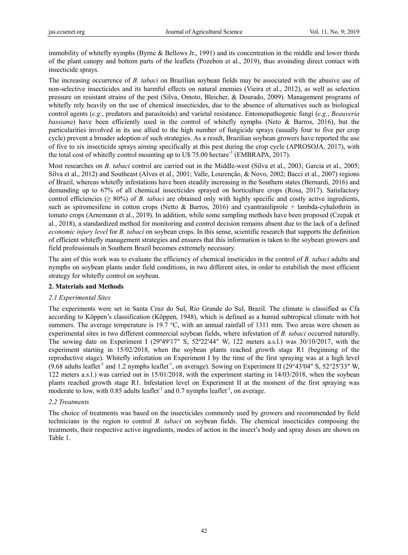immobility of whitefly nymphs (Byrne & Bellows Jr., 1991) and its concentration in the middle and lower thirds of the plant canopy and bottom parts of the leaflets (Pozebon et al., 2019), thus avoinding direct contact with insecticide sprays.

The increasing occurrence of *B. tabaci* on Brazilian soybean fields may be associated with the abusive use of non-selective insecticides and its harmful effects on natural enemies (Vieira et al., 2012), as well as selection pressure on resistant strains of the pest (Silva, Omoto, Bleicher, & Dourado, 2009). Management programs of whitefly rely heavily on the use of chemical insecticides, due to the absence of alternatives such as biological control agents (*e.g.*, predators and parasitoids) and varietal resistance. Entomopathogenic fungi (*e.g.*, *Beauveria bassiana*) have been efficiently used in the control of whitefly nymphs (Neto & Barros, 2016), but the particularities involved in its use allied to the high number of fungicide sprays (usually four to five per crop cycle) prevent a broader adoption of such strategies. As a result, Brazilian soybean growers have reported the use of five to six insecticide sprays aiming specifically at this pest during the crop cycle (APROSOJA, 2017), with the total cost of whitefly control mounting up to U\$ 75.00 hectare<sup>-1</sup> (EMBRAPA, 2017).

Most researches on *B. tabaci* control are carried out in the Middle-west (Silva et al., 2003; Garcia et al., 2005; Silva et al., 2012) and Southeast (Alves et al., 2001; Valle, Lourenção, & Novo, 2002; Bacci et al., 2007) regions of Brazil, whereas whitefly infestations have been steadily increasing in the Southern states (Bernardi, 2016) and demanding up to 67% of all chemical insecticides sprayed on horticulture crops (Rosa, 2017). Satisfactory control efficiencies ( $\geq 80\%$ ) of *B. tabaci* are obtained only with highly specific and costly active ingredients, such as spiromesifene in cotton crops (Netto  $\&$  Barros, 2016) and cyantraniliprole + lambda-cyhalothrin in tomato crops (Arnemann et al., 2019). In addition, while some sampling methods have been proposed (Czepak et al., 2018), a standardized method for monitoring and control decision remains absent due to the lack of a defined *economic injury level* for *B. tabaci* on soybean crops. In this sense, scientific research that supports the definition of efficient whitefly management strategies and ensures that this information is taken to the soybean growers and field professionals in Southern Brazil becomes extremely necessary.

The aim of this work was to evaluate the efficiency of chemical inseticides in the control of *B. tabaci* adults and nymphs on soybean plants under field conditions, in two different sites, in order to estabilish the most efficient strategy for whitefly control on soybean.

# **2. Materials and Methods**

## *2.1 Experimental Sites*

The experiments were set in Santa Cruz do Sul, Rio Grande do Sul, Brazil. The climate is classified as Cfa according to Köppen's classification (Köppen, 1948), which is defined as a humid subtropical climate with hot summers. The average temperature is 19.7  $\degree$ C, with an annual rainfall of 1311 mm. Two areas were chosen as experimental sites in two different commercial soybean fields, where infestation of *B. tabaci* occurred naturally. The sowing date on Experiment I ( $29^{\circ}49'17''$  S,  $52^{\circ}22'44''$  W, 122 meters a.s.l.) was  $30/10/2017$ , with the experiment starting in 15/02/2018, when the soybean plants reached growth stage R1 (beginning of the reproductive stage). Whitefly infestation on Experiment I by the time of the first spraying was at a high level (9.68 adults leaflet<sup>-1</sup> and 1.2 nymphs leaflet<sup>-1</sup>, on average). Sowing on Experiment II (29°43′04″ S, 52°25′33″ W, 122 meters a.s.l.) was carried out in 15/01/2018, with the experiment starting in 14/03/2018, when the soybean plants reached growth stage R1. Infestation level on Experiment II at the moment of the first spraying was moderate to low, with 0.85 adults leaflet<sup>-1</sup> and 0.7 nymphs leaflet<sup>-1</sup>, on average.

## *2.2 Treatments*

The choice of treatments was based on the insecticides commonly used by growers and recommended by field technicians in the region to control *B. tabaci* on soybean fields. The chemical insecticides composing the treatments, their respective active ingredients, modes of action in the insect's body and spray doses are shown on Table 1.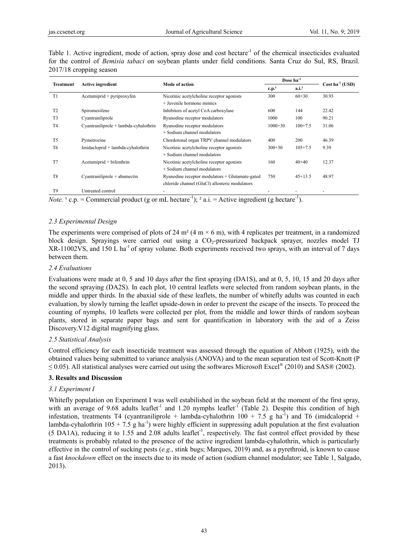|  |                           |  | Table 1. Active ingredient, mode of action, spray dose and cost hectare <sup>-1</sup> of the chemical insecticides evaluated |  |  |  |  |  |  |
|--|---------------------------|--|------------------------------------------------------------------------------------------------------------------------------|--|--|--|--|--|--|
|  |                           |  | for the control of <i>Bemisia tabaci</i> on soybean plants under field conditions. Santa Cruz do Sul, RS, Brazil.            |  |  |  |  |  |  |
|  | $2017/18$ cropping season |  |                                                                                                                              |  |  |  |  |  |  |

|                  |                                       |                                                 |                   | Dose $ha^{-1}$    | $Cost ha-1 (USD)$ |  |
|------------------|---------------------------------------|-------------------------------------------------|-------------------|-------------------|-------------------|--|
| <b>Treatment</b> | <b>Active ingredient</b>              | Mode of action                                  | c.p. <sup>1</sup> | a.i. <sup>2</sup> |                   |  |
| T1               | Acetamiprid + pyriproxyfen            | Nicotinic acetylcholine receptor agonists       | 300               | $60+30$           | 30.93             |  |
|                  |                                       | + Juvenile hormone mimics                       |                   |                   |                   |  |
| T <sub>2</sub>   | Spiromesifene                         | Inhibitors of acetyl CoA carboxylase            | 600               | 144               | 22.42             |  |
| T <sub>3</sub>   | Cyantraniliprole                      | Ryanodine receptor modulators                   | 1000              | 100               | 90.21             |  |
| T <sub>4</sub>   | Cyantraniliprole + lambda-cyhalothrin | Ryanodine receptor modulators                   | $1000 + 30$       | $100+7.5$         | 31.06             |  |
|                  |                                       | + Sodium channel modulators                     |                   |                   |                   |  |
| T <sub>5</sub>   | Pymetrozine                           | Chordotonal organ TRPV channel modulators       | 400               | 200               | 46.39             |  |
| T <sub>6</sub>   | Imidacloprid + lambda-cyhalothrin     | Nicotinic acetylcholine receptor agonists       | $300+30$          | $105 + 7.5$       | 9.39              |  |
|                  |                                       | + Sodium channel modulators                     |                   |                   |                   |  |
| T7               | Acetamiprid + bifenthrin              | Nicotinic acetylcholine receptor agonists       | 160               | $40+40$           | 12.37             |  |
|                  |                                       | + Sodium channel modulators                     |                   |                   |                   |  |
| T <sub>8</sub>   | Cyantraniliprole + abamectin          | Ryanodine receptor modulators + Glutamate-gated | 750               | $45+13.5$         | 48.97             |  |
|                  |                                       | chloride channel (GluCl) allosteric modulators  |                   |                   |                   |  |
| T <sub>9</sub>   | Untreated control                     |                                                 |                   |                   |                   |  |

*Note.* <sup>1</sup> c.p. = Commercial product (g or mL hectare<sup>-1</sup>); <sup>2</sup> a.i. = Active ingredient (g hectare<sup>-1</sup>).

## *2.3 Experimental Design*

The experiments were comprised of plots of 24 m<sup>2</sup> (4 m  $\times$  6 m), with 4 replicates per treatment, in a randomized block design. Sprayings were carried out using a CO<sub>2</sub>-pressurized backpack sprayer, nozzles model TJ XR-11002VS, and 150 L ha<sup>-1</sup> of spray volume. Both experiments received two sprays, with an interval of 7 days between them.

## *2.4 Evaluations*

Evaluations were made at 0, 5 and 10 days after the first spraying (DA1S), and at 0, 5, 10, 15 and 20 days after the second spraying (DA2S). In each plot, 10 central leaflets were selected from random soybean plants, in the middle and upper thirds. In the abaxial side of these leaflets, the number of whitefly adults was counted in each evaluation, by slowly turning the leaflet upside-down in order to prevent the escape of the insects. To proceed the counting of nymphs, 10 leaflets were collected per plot, from the middle and lower thirds of random soybean plants, stored in separate paper bags and sent for quantification in laboratory with the aid of a Zeiss Discovery.V12 digital magnifying glass.

## *2.5 Statistical Analysis*

Control efficiency for each insecticide treatment was assessed through the equation of Abbott (1925), with the obtained values being submitted to variance analysis (ANOVA) and to the mean separation test of Scott-Knott (P  $\leq$  0.05). All statistical analyses were carried out using the softwares Microsoft Excel<sup>®</sup> (2010) and SAS® (2002).

# **3. Results and Discussion**

## *3.1 Experiment I*

Whitefly population on Experiment I was well estabilished in the soybean field at the moment of the first spray, with an average of 9.68 adults leaflet<sup>-1</sup> and 1.20 nymphs leaflet<sup>-1</sup> (Table 2). Despite this condition of high infestation, treatments T4 (cyantraniliprole + lambda-cyhalothrin 100 + 7.5 g ha<sup>-1</sup>) and T6 (imidcaloprid + lambda-cyhalothrin 105 + 7.5 g ha<sup>-1</sup>) were highly efficient in suppressing adult population at the first evaluation  $(5 \text{ D}A1A)$ , reducing it to 1.55 and 2.08 adults leaflet<sup>-1</sup>, respectively. The fast control effect provided by these treatments is probably related to the presence of the active ingredient lambda-cyhalothrin, which is particularly effective in the control of sucking pests (*e.g.*, stink bugs; Marques, 2019) and, as a pyrethroid, is known to cause a fast *knockdown* effect on the insects due to its mode of action (sodium channel modulator; see Table 1, Salgado, 2013).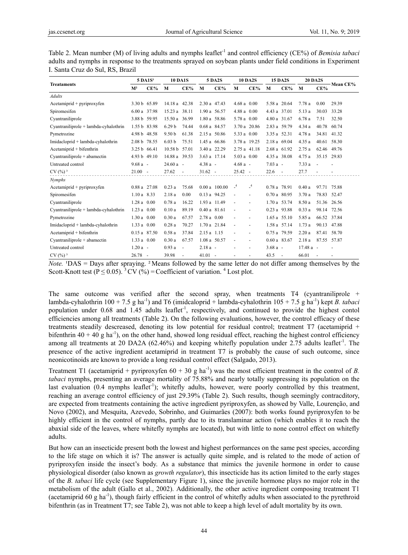| Table 2. Mean number (M) of living adults and nymphs leaflet <sup>-1</sup> and control efficiency (CE%) of <i>Bemisia tabaci</i> |
|----------------------------------------------------------------------------------------------------------------------------------|
| adults and nymphs in response to the treatments sprayed on soybean plants under field conditions in Experiment                   |
| I. Santa Cruz do Sul, RS, Brazil                                                                                                 |

|                                       | 5 DA1S <sup>1</sup> |        | <b>10 DA1S</b>     |                          | <b>5 DA2S</b> |                | <b>10 DA2S</b> |                          | <b>15 DA2S</b> |              | <b>20 DA2S</b> |             |            |  |
|---------------------------------------|---------------------|--------|--------------------|--------------------------|---------------|----------------|----------------|--------------------------|----------------|--------------|----------------|-------------|------------|--|
| <b>Treataments</b>                    | M <sup>2</sup>      | $CE\%$ | M                  | $CE\%$                   | M             | $CE\%$         | M              | $CE\%$                   | M              | $CE\%$       | M              | $CE\%$      | – Mean CE% |  |
| <b>Adults</b>                         |                     |        |                    |                          |               |                |                |                          |                |              |                |             |            |  |
| Acetamiprid + pyriproxyfen            | 3.30 b 65.89        |        | 14.18 a 42.38      |                          | 2.30 a 47.43  |                | $4.68a$ 0.00   |                          | 5.58 a 20.64   |              | 7.78 a         | 0.00        | 29.39      |  |
| Spiromesifen                          | 6.00 a 37.98        |        | 15.23a             | 38.11                    | 1.90 a 56.57  |                | $4.88a$ 0.00   |                          | 4.43 a 37.01   |              | 5.13 a         | 30.03       | 33.28      |  |
| Cyantraniliprole                      | 3.88 b 59.95        |        | 15.50a             | 36.99                    | 1.80 a 58.86  |                | 5.78 a 0.00    |                          | 4.80 a 31.67   |              | 6.78 a         | 7.51        | 32.50      |  |
| Cyantraniliprole + lambda-cyhalothrin | 1.55 b 83.98        |        | 6.29 <sub>b</sub>  | 74.44                    | 0.68 a 84.57  |                | 3.70 a 20.86   |                          | 2.83 a 59.79   |              | 4.34 a         | 40.78       | 60.74      |  |
| Pymetrozine                           | 4.98 b 48.58        |        | 9.50 <sub>b</sub>  | 61.38                    | 2.15 a 50.86  |                | 5.33 a 0.00    |                          | 3.35 a 52.31   |              | 4.78 a         | 34.81       | 41.32      |  |
| Imidacloprid + lambda-cyhalothrin     | 2.08 b 78.55        |        | 6.03 <sub>b</sub>  | 75.51                    | 1.45 a 66.86  |                | 3.78 a 19.25   |                          | 2.18 a 69.04   |              | 4.35 a         | 40.61       | 58.30      |  |
| Acetamiprid + bifenthrin              | 3.25 b 66.41        |        | 10.58 <sub>b</sub> | 57.01                    | 3.40 a 22.29  |                | 2.75 a 41.18   |                          | 2.68 a 61.92   |              | 2.75a          | 62.46       | 49.76      |  |
| $Cyantrainliprole + abamectin$        | 4.93 b 49.10        |        | 14.88 a 39.53      |                          | 3.63 a 17.14  |                | $5.03 a$ 0.00  |                          | 4.35 a 38.08   |              | 4.75 a         | 35.15       | 29.83      |  |
| Untreated control                     | $9.68a -$           |        | $24.60a -$         |                          | $4.38a -$     |                | $4.68a -$      |                          | $7.03a -$      |              | 7.33 a         | $\sim$      |            |  |
| $CV(%)$ <sup>3</sup>                  | $21.00 -$           |        | 27.62              | $\overline{\phantom{a}}$ | $31.62 -$     |                | $25.42 -$      |                          | $22.6 -$       |              | 27.7           |             |            |  |
| <b>Nymphs</b>                         |                     |        |                    |                          |               |                |                |                          |                |              |                |             |            |  |
| Acetamiprid + pyriproxyfen            | $0.88a$ 27.08       |        | 0.23a              | 75.68                    |               | $0.00a$ 100.00 | $\mathbf{I}^4$ | $\mathbf{I}^4$           | 0.78 a 78.91   |              | 0.40a          | 97.71       | 75.88      |  |
| Spiromesifen                          | $1.10a$ 8.33        |        | 2.18 a             | 0.00                     | 0.13 a 94.25  |                |                | $\blacksquare$           | $0.70a$ 80.95  |              | 3.70a          | 78.83       | 52.47      |  |
| Cyantraniliprole                      | $1.28a$ 0.00        |        | 0.78a              | 16.22                    | 1.93 a 11.49  |                |                | $\overline{\phantom{a}}$ | 1.70 a 53.74   |              | 8.50 a         | 51.36       | 26.56      |  |
| Cyantraniliprole + lambda-cyhalothrin | 1.23 a 0.00         |        | 0.10a              | 89.19                    | $0.40a$ 81.61 |                |                | $\blacksquare$           | 0.23 a 93.88   |              | 0.33a          | 98.14       | 72.56      |  |
| Pymetrozine                           | 1.30 a 0.00         |        | 0.30a              | 67.57                    | 2.78 a 0.00   |                |                | $\overline{\phantom{a}}$ |                | 1.65 a 55.10 | 5.85 a         | 66.52 37.84 |            |  |
| Imidacloprid + lambda-cyhalothrin     | 1.33 a 0.00         |        | 0.28a              | 70.27                    | 1.70 a 21.84  |                |                | $\blacksquare$           |                | 1.58 a 57.14 | 1.73a          | 90.13       | 47.88      |  |
| Acetamiprid + bifenthrin              | $0.15a$ 87.50       |        | 0.58a              | 37.84                    | 2.15 a 1.15   |                |                | $\blacksquare$           | 0.75 a 79.59   |              | 2.20a          | 87.41       | 58.70      |  |
| Cyantraniliprole + abamectin          | 1.33 a 0.00         |        | 0.30a              | 67.57                    | 1.08 a 50.57  |                |                |                          | $0.60a$ 83.67  |              | 2.18 a         | 87.55 57.87 |            |  |
| Untreated control                     | $1.20a -$           |        | 0.93a              | $\blacksquare$           | $2.18a -$     |                |                | $\overline{\phantom{a}}$ | $3.68a -$      |              | $17.48a -$     |             |            |  |
| $CV(%)$ <sup>3</sup>                  | $26.78 -$           |        | 39.98              | $\blacksquare$           | $41.01 -$     |                |                | $\overline{\phantom{a}}$ | 43.5           | $\sim$ $-$   | 66.01          |             |            |  |

*Note.* <sup>1</sup>DAS = Days after spraying. <sup>2</sup> Means followed by the same letter do not differ among themselves by the Scott-Knott test ( $P \le 0.05$ ). <sup>3</sup> CV (%) = Coefficient of variation. <sup>4</sup> Lost plot.

The same outcome was verified after the second spray, when treatments  $T4$  (cyantraniliprole + lambda-cyhalothrin 100 + 7.5 g ha-1) and T6 (imidcaloprid + lambda-cyhalothrin 105 + 7.5 g ha-1) kept *B. tabaci*  population under 0.68 and 1.45 adults leaflet<sup>-1</sup>, respectively, and continued to provide the highest contol efficiencies among all treatments (Table 2). On the following evaluations, however, the control efficacy of these treatments steadily descreased, denoting its low potential for residual control; treatment T7 (acetamiprid + bifenthrin  $40 + 40$  g ha<sup>-1</sup>), on the other hand, showed long residual effect, reaching the highest control efficiency among all treatments at 20 DA2A (62.46%) and keeping whitefly population under 2.75 adults leaflet<sup>-1</sup>. The presence of the active ingredient acetamiprid in treatment T7 is probably the cause of such outcome, since neonicotinoids are known to provide a long residual control effect (Salgado, 2013).

Treatment T1 (acetamiprid + pyriproxyfen  $60 + 30$  g ha<sup>-1</sup>) was the most efficient treatment in the control of *B*. *tabaci* nymphs, presenting an average mortality of 75.88% and nearly totally suppressing its population on the last evaluation  $(0.4 \text{ nymbols leaflet}^{-1})$ ; whitefly adults, however, were poorly controlled by this treatment, reaching an average control efficiency of just 29.39% (Table 2). Such results, though seemingly contracditory, are expected from treatments containing the active ingredient pyriproxyfen, as showed by Valle, Lourenção, and Novo (2002), and Mesquita, Azevedo, Sobrinho, and Guimarães (2007): both works found pyriproxyfen to be highly efficient in the control of nymphs, partly due to its translaminar action (which enables it to reach the abaxial side of the leaves, where whitefly nymphs are located), but with little to none control effect on whitefly adults.

But how can an insecticide present both the lowest and highest performances on the same pest species, according to the life stage on which it is? The answer is actually quite simple, and is related to the mode of action of pyriproxyfen inside the insect's body. As a substance that mimics the juvenile hormone in order to cause physiological disorder (also known as *growth regulator*), this insecticide has its action limited to the early stages of the *B. tabaci* life cycle (see Supplementary Figure 1), since the juvenile hormone plays no major role in the metabolism of the adult (Gallo et al., 2002). Additionally, the other active ingredient composing treatment T1 (acetamiprid 60 g ha<sup>-1</sup>), though fairly efficient in the control of whitefly adults when associated to the pyrethroid bifenthrin (as in Treatment T7; see Table 2), was not able to keep a high level of adult mortality by its own.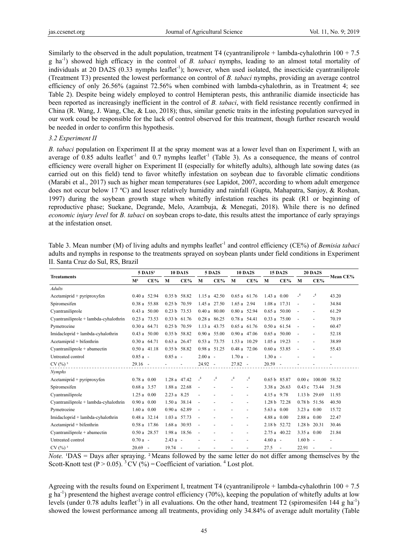Similarly to the observed in the adult population, treatment T4 (cyantraniliprole + lambda-cyhalothrin  $100 + 7.5$ ) g ha-1) showed high efficacy in the control of *B. tabaci* nymphs, leading to an almost total mortality of individuals at 20 DA2S (0.33 nymphs leaflet<sup>-1</sup>); however, when used isolated, the insecticide cyantraniliprole (Treatment T3) presented the lowest performance on control of *B. tabaci* nymphs, providing an average control efficiency of only 26.56% (against 72.56% when combined with lambda-cyhalothrin, as in Treatment 4; see Table 2). Despite being widely employed to control Hemipteran pests, this anthranilic diamide insecticide has been reported as increasingly inefficient in the control of *B. tabaci*, with field resistance recently confirmed in China (R. Wang, J. Wang, Che, & Luo, 2018); thus, similar genetic traits in the infesting population surveyed in our work coud be responsible for the lack of control observed for this treatment, though further research would be needed in order to confirm this hypothesis.

## *3.2 Experiment II*

*B. tabaci* population on Experiment II at the spray moment was at a lower level than on Experiment I, with an average of 0.85 adults leaflet<sup>-1</sup> and 0.7 nymphs leaflet<sup>-1</sup> (Table 3). As a consequence, the means of control efficiency were overall higher on Experiment II (especially for whitefly adults), although late sowing dates (as carried out on this field) tend to favor whitefly infestation on soybean due to favorable climatic conditions (Marabi et al., 2017) such as higher mean temperatures (see Lapidot, 2007, according to whom adult emergence does not occur below 17 ºC) and lesser relatively humidity and rainfall (Gupta, Mahapatra, Sanjoy, & Roshan, 1997) during the soybean growth stage when whitefly infestation reaches its peak (R1 or beginning of reproductive phase; Suekane, Degrande, Melo, Azambuja, & Menegati, 2018). While there is no defined *economic injury level* for *B. tabaci* on soybean crops to-date, this results attest the importance of early sprayings at the infestation onset.

Table 3. Mean number (M) of living adults and nymphs leaflet<sup>-1</sup> and control efficiency (CE%) of *Bemisia tabaci* adults and nymphs in response to the treatments sprayed on soybean plants under field conditions in Experiment II. Santa Cruz do Sul, RS, Brazil

| <b>Treataments</b>                    | $5$ DA $1S1$     |               | <b>10 DA1S</b> |                          | <b>5 DA2S</b>  |                | <b>10 DA2S</b>  |                | <b>15 DA2S</b> |        | <b>20 DA2S</b>           |                | - Mean CE% |  |
|---------------------------------------|------------------|---------------|----------------|--------------------------|----------------|----------------|-----------------|----------------|----------------|--------|--------------------------|----------------|------------|--|
|                                       | M <sup>2</sup>   | $CE\%$        | M              | $CE\%$                   | M              | $CE\%$         | M               | CE%            | M              | $CE\%$ | M                        | CE%            |            |  |
| <b>Adults</b>                         |                  |               |                |                          |                |                |                 |                |                |        |                          |                |            |  |
| Acetamiprid + pyriproxyfen            | $0.40a$ 52.94    |               | 0.35 b 58.82   |                          | 1.15 a 42.50   |                | $0.65a$ 61.76   |                | 1.43 a 0.00    |        | $\mathbf{I}^4$           | $\mathbf{I}^4$ | 43.20      |  |
| Spiromesifen                          |                  | 0.38 a 55.88  | 0.25 b 70.59   |                          | 1.45 a 27.50   |                | $1.65$ a $2.94$ |                | 1.08 a 17.31   |        | $\blacksquare$           |                | 34.84      |  |
| Cyantraniliprole                      |                  | $0.43a$ 50.00 | 0.23 b 73.53   |                          | $0.40 a$ 80.00 |                | 0.80 a 52.94    |                | $0.65a$ 50.00  |        | $\overline{\phantom{a}}$ |                | 61.29      |  |
| Cyantraniliprole + lambda-cyhalothrin | 0.23 a 73.53     |               | $0.33 b$ 61.76 |                          | $0.28a$ 86.25  |                | 0.78 a 54.41    |                | $0.33a$ 75.00  |        | $\blacksquare$           |                | 70.19      |  |
| Pymetrozine                           | $0.30a$ 64.71    |               | $0.25 b$ 70.59 |                          | 1.13 a 43.75   |                | $0.65a$ 61.76   |                | $0.50a$ 61.54  |        | $\overline{\phantom{a}}$ |                | 60.47      |  |
| Imidacloprid + lambda-cyhalothrin     | $0.43$ a $50.00$ |               | 0.35 b 58.82   |                          | $0.90 a$ 55.00 |                | $0.90 a$ 47.06  |                | $0.65a$ 50.00  |        | $\sim$                   |                | 52.18      |  |
| Acetamiprid + bifenthrin              | $0.30a$ 64.71    |               | $0.63a$ 26.47  |                          | 0.53 a 73.75   |                | 1.53 a 10.29    |                | 1.05 a 19.23   |        | $\blacksquare$           |                | 38.89      |  |
| Cyantraniliprole + abamectin          |                  | $0.50a$ 41.18 | 0.35 b 58.82   |                          | 0.98 a 51.25   |                | $0.48a$ 72.06   |                | $0.60a$ 53.85  |        | $\blacksquare$           | ٠              | 55.43      |  |
| Untreated control                     | $0.85a -$        |               | $0.85a -$      |                          | $2.00a -$      |                | $1.70a -$       |                | $1.30a -$      |        |                          |                | ٠          |  |
| $CV(%)$ <sup>3</sup>                  | $29.16 -$        |               | $\sim$         | $\overline{\phantom{a}}$ | $24.92 -$      |                | $27.82 -$       |                | $20.59 -$      |        |                          |                |            |  |
| Nymphs                                |                  |               |                |                          |                |                |                 |                |                |        |                          |                |            |  |
| Acetamiprid + pyriproxyfen            | $0.78a$ 0.00     |               | 1.28 a 47.42   |                          | $\mathbf{I}^4$ | $\mathbf{I}^4$ | $\mathcal{A}$   | $\mathbf{I}^4$ | 0.65 b 85.87   |        |                          | $0.00c$ 100.00 | 58.32      |  |
| Spiromesifen                          | $0.68a$ 3.57     |               | 1.88 a 22.68   |                          | $\bar{a}$      |                |                 |                | 3.38 a 26.63   |        | 0.43 c 73.44             |                | 31.58      |  |
| Cyantraniliprole                      | $1.25a$ 0.00     |               | 2.23 a 8.25    |                          | ÷.             |                |                 |                | 4.15 a 9.78    |        | 1.13 b 29.69             |                | 11.93      |  |
| Cyantraniliprole + lambda-cyhalothrin | $0.90 a$ 0.00    |               | $1.50a$ 38.14  |                          | $\blacksquare$ |                |                 |                | 1.28 b 72.28   |        | 0.78 b 51.56             |                | 40.50      |  |
| Pymetrozine                           | $1.60a$ 0.00     |               | $0.90a$ 62.89  |                          | $\blacksquare$ |                |                 |                | 5.63 a $0.00$  |        | $3.23 a$ 0.00            |                | 15.72      |  |
| Imidacloprid + lambda-cyhalothrin     | 0.48 a 32.14     |               | 1.03 a 57.73   |                          | $\blacksquare$ |                |                 |                | $4.88 a$ 0.00  |        | 2.88 a 0.00              |                | 22.47      |  |
| Acetamiprid + bifenthrin              |                  | 0.58 a 17.86  | 1.68 a 30.93   |                          | ÷,             |                |                 |                | 2.18 b 52.72   |        | 1.28 b 20.31             |                | 30.46      |  |
| $Cyantrainliprole + abamectin$        | $0.50a$ 28.57    |               | 1.98 a 18.56   |                          | $\sim$         |                |                 | ٠              | 2.75 a 40.22   |        | $3.35 a$ 0.00            |                | 21.84      |  |
| Untreated control                     | $0.70a -$        |               | $2.43a -$      |                          |                |                |                 |                | $4.60a -$      |        | $1.60 b -$               |                |            |  |
| $CV(%)$ <sup>3</sup>                  | $20.69 -$        |               | $19.74 -$      |                          |                |                |                 |                | 27.5           | $\sim$ | $22.91 -$                |                |            |  |

*Note.* **'DAS** = Days after spraying. <sup>2</sup> Means followed by the same letter do not differ among themselves by the Scott-Knott test ( $P > 0.05$ ). <sup>3</sup> CV (%) = Coefficient of variation. <sup>4</sup> Lost plot.

Agreeing with the results found on Experiment I, treatment T4 (cyantraniliprole + lambda-cyhalothrin 100 + 7.5  $g$  ha<sup>-1</sup>) presentend the highest average control efficiency (70%), keeping the population of whitefly adults at low levels (under 0.78 adults leaflet<sup>-1</sup>) in all evaluations. On the other hand, treatment T2 (spiromesifen 144 g ha<sup>-1</sup>) showed the lowest performance among all treatments, providing only 34.84% of average adult mortality (Table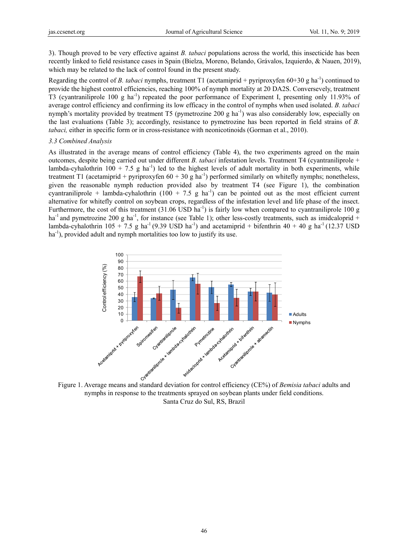3). Though proved to be very effective against *B. tabaci* populations across the world, this insecticide has been recently linked to field resistance cases in Spain (Bielza, Moreno, Belando, Grávalos, Izquierdo, & Nauen, 2019), which may be related to the lack of control found in the present study.

Regarding the control of *B. tabaci* nymphs, treatment T1 (acetamiprid + pyriproxyfen 60+30 g ha<sup>-1</sup>) continued to provide the highest control efficiencies, reaching 100% of nymph mortality at 20 DA2S. Conversevely, treatment T3 (cyantraniliprole 100 g ha<sup>-1</sup>) repeated the poor performance of Experiment I, presenting only 11.93% of average control efficiency and confirming its low efficacy in the control of nymphs when used isolated. *B. tabaci* nymph's mortality provided by treatment T5 (pymetrozine 200 g ha<sup>-1</sup>) was also considerably low, especially on the last evaluations (Table 3); accordingly, resistance to pymetrozine has been reported in field strains of *B. tabaci*, either in specific form or in cross-resistance with neonicotinoids (Gorman et al., 2010).

## *3.3 Combined Analysis*

As illustrated in the average means of control efficiency (Table 4), the two experiments agreed on the main outcomes, despite being carried out under different *B. tabaci* infestation levels. Treatment T4 (cyantraniliprole + lambda-cyhalothrin 100 + 7.5 g ha<sup>-1</sup>) led to the highest levels of adult mortality in both experiments, while treatment T1 (acetamiprid + pyriproxyfen  $60 + 30$  g ha<sup>-1</sup>) performed similarly on whitefly nymphs; nonetheless, given the reasonable nymph reduction provided also by treatment T4 (see Figure 1), the combination cyantraniliprole + lambda-cyhalothrin (100 + 7.5 g ha<sup>-1</sup>) can be pointed out as the most efficient current alternative for whitefly control on soybean crops, regardless of the infestation level and life phase of the insect. Furthermore, the cost of this treatment  $(31.06 \text{ USD ha}^{-1})$  is fairly low when compared to cyantraniliprole 100 g ha<sup>-1</sup> and pymetrozine 200 g ha<sup>-1</sup>, for instance (see Table 1); other less-costly treatments, such as imidcaloprid + lambda-cyhalothrin 105 + 7.5 g ha<sup>-1</sup> (9.39 USD ha<sup>-1</sup>) and acetamiprid + bifenthrin 40 + 40 g ha<sup>-1</sup> (12.37 USD  $ha^{-1}$ ), provided adult and nymph mortalities too low to justify its use.



nymphs in response to the treatments sprayed on soybean plants under field conditions. Santa Cruz do Sul, RS, Brazil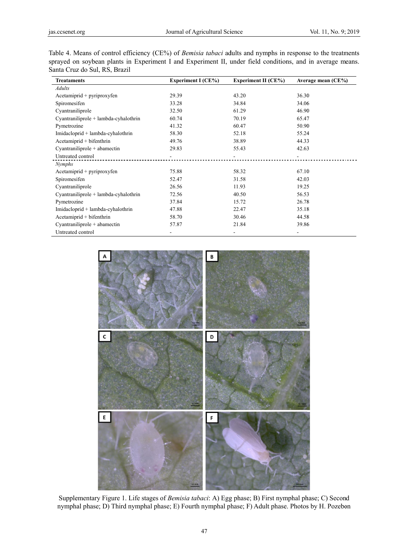| Table 4. Means of control efficiency (CE%) of <i>Bemisia tabaci</i> adults and nymphs in response to the treatments |
|---------------------------------------------------------------------------------------------------------------------|
| sprayed on soybean plants in Experiment I and Experiment II, under field conditions, and in average means.          |
| Santa Cruz do Sul, RS, Brazil                                                                                       |

| <b>Treataments</b>                                                                                     | <b>Experiment I (CE%)</b> | <b>Experiment II (CE%)</b> | Average mean (CE%) |
|--------------------------------------------------------------------------------------------------------|---------------------------|----------------------------|--------------------|
| Adults                                                                                                 |                           |                            |                    |
| Acetamiprid + pyriproxyfen                                                                             | 29.39                     | 43.20                      | 36.30              |
| Spiromesifen                                                                                           | 33.28                     | 34.84                      | 34.06              |
| Cyantraniliprole                                                                                       | 32.50                     | 61.29                      | 46.90              |
| Cyantraniliprole + lambda-cyhalothrin                                                                  | 60.74                     | 70.19                      | 65.47              |
| Pymetrozine                                                                                            | 41.32                     | 60.47                      | 50.90              |
| Imidacloprid + lambda-cyhalothrin                                                                      | 58.30                     | 52.18                      | 55.24              |
| Acetamiprid + bifenthrin                                                                               | 49.76                     | 38.89                      | 44.33              |
| Cyantraniliprole + abamectin                                                                           | 29.83                     | 55.43                      | 42.63              |
| Untreated control                                                                                      |                           |                            |                    |
| Nymphs                                                                                                 |                           |                            |                    |
| Acetamiprid + pyriproxyfen                                                                             | 75.88                     | 58.32                      | 67.10              |
| Spiromesifen                                                                                           | 52.47                     | 31.58                      | 42.03              |
| Cyantraniliprole                                                                                       | 26.56                     | 11.93                      | 19.25              |
| Cyantraniliprole + lambda-cyhalothrin                                                                  | 72.56                     | 40.50                      | 56.53              |
| Pymetrozine                                                                                            | 37.84                     | 15.72                      | 26.78              |
| Imidacloprid + lambda-cyhalothrin                                                                      | 47.88                     | 22.47                      | 35.18              |
| Acetamiprid + bifenthrin                                                                               | 58.70                     | 30.46                      | 44.58              |
| Cyantraniliprole + abamectin                                                                           | 57.87                     | 21.84                      | 39.86              |
| Untreated control                                                                                      |                           |                            |                    |
| C<br>E                                                                                                 | D<br>$0,1$ mm             |                            |                    |
| Supplementary Figure 1. Life stages of Bemisia tabaci: A) Egg phase; B) First nymphal phase; C) Second |                           |                            |                    |

![](_page_6_Figure_5.jpeg)

Supplementary Figure 1. Life stages of *Bemisia tabaci*: A) Egg phase; B) First nymphal phase; C) Second nymphal phase; D) Third nymphal phase; E) Fourth nymphal phase; F) Adult phase. Photos by H. Pozebon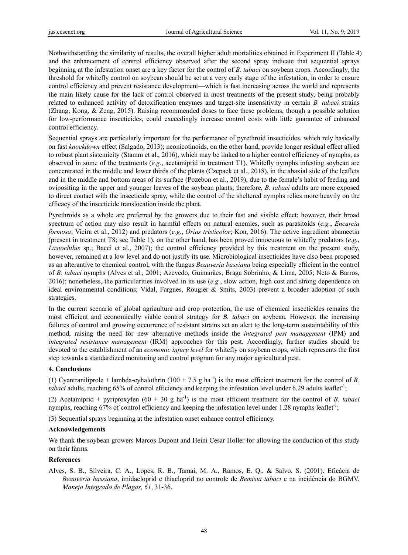Nothwithstanding the similarity of results, the overall higher adult mortalities obtained in Experiment II (Table 4) and the enhancement of control efficiency observed after the second spray indicate that sequential sprays beginning at the infestation onset are a key factor for the control of *B. tabaci* on soybean crops. Accordingly, the threshold for whitefly control on soybean should be set at a very early stage of the infestation, in order to ensure control efficiency and prevent resistance development—which is fast increasing across the world and represents the main likely cause for the lack of control observed in most treatments of the present study, being probably related to enhanced activity of detoxification enzymes and target-site insensitivity in certain *B. tabaci* strains (Zhang, Kong, & Zeng, 2015). Raising recommended doses to face these problems, though a possible solution for low-performance insecticides, could exceedingly increase control costs with little guarantee of enhanced control efficiency.

Sequential sprays are particularly important for the performance of pyrethroid insecticides, which rely basically on fast *knockdown* effect (Salgado, 2013); neonicotinoids, on the other hand, provide longer residual effect allied to robust plant sistemicity (Stamm et al., 2016), which may be linked to a higher control efficiency of nymphs, as observed in some of the treatments (*e.g.*, acetamiprid in treatment T1). Whitefly nymphs infesting soybean are concentrated in the middle and lower thirds of the plants (Czepack et al., 2018), in the abaxial side of the leaflets and in the middle and bottom areas of its surface (Pozebon et al., 2019), due to the female's habit of feeding and ovipositing in the upper and younger leaves of the soybean plants; therefore, *B. tabaci* adults are more exposed to direct contact with the insecticide spray, while the control of the sheltered nymphs relies more heavily on the efficacy of the insecticide translocation inside the plant.

Pyrethroids as a whole are preferred by the growers due to their fast and visible effect; however, their broad spectrum of action may also result in harmful effects on natural enemies, such as parasitoids (*e.g.*, *Encarcia formosa*; Vieira et al., 2012) and predators (*e.g.*, *Orius tristicolor*; Kon, 2016). The active ingredient abamectin (present in treatment T8; see Table 1), on the other hand, has been proved innocuous to whitefly predators (*e.g.*, *Lasiochilus* sp.; Bacci et al., 2007); the control efficiency provided by this treatment on the present study, however, remained at a low level and do not justify its use. Microbiological insecticides have also been proposed as an alterantive to chemical control, with the fungus *Beauveria bassiana* being especially efficient in the control of *B. tabaci* nymphs (Alves et al., 2001; Azevedo, Guimarães, Braga Sobrinho, & Lima, 2005; Neto & Barros, 2016); nonetheless, the particularities involved in its use (*e.g.*, slow action, high cost and strong dependence on ideal environmental conditions; Vidal, Fargues, Rougier & Smits, 2003) prevent a broader adoption of such strategies.

In the current scenario of global agriculture and crop protection, the use of chemical insecticides remains the most efficient and economically viable control strategy for *B. tabaci* on soybean*.* However, the increasing failures of control and growing occurrence of resistant strains set an alert to the long-term sustaintability of this method, raising the need for new alternative methods inside the *integrated pest management* (IPM) and *integrated resistance management* (IRM) approaches for this pest. Accordingly, further studies should be devoted to the establishment of an *economic injury level* for whitefly on soybean crops, which represents the first step towards a standardized monitoring and control program for any major agricultural pest.

## **4. Conclusions**

(1) Cyantraniliprole + lambda-cyhalothrin  $(100 + 7.5 \text{ g ha}^{-1})$  is the most efficient treatment for the control of *B*. *tabaci* adults, reaching 65% of control efficiency and keeping the infestation level under 6.29 adults leaflet<sup>-1</sup>;

(2) Acetamiprid + pyriproxyfen  $(60 + 30 \text{ g ha}^{-1})$  is the most efficient treatment for the control of *B. tabaci* nymphs, reaching 67% of control efficiency and keeping the infestation level under 1.28 nymphs leaflet<sup>-1</sup>;

(3) Sequential sprays beginning at the infestation onset enhance control efficiency.

## **Acknowledgements**

We thank the soybean growers Marcos Dupont and Heini Cesar Holler for allowing the conduction of this study on their farms.

## **References**

Alves, S. B., Silveira, C. A., Lopes, R. B., Tamai, M. A., Ramos, E. Q., & Salvo, S. (2001). Eficácia de *Beauveria bassiana*, imidacloprid e thiacloprid no controle de *Bemisia tabaci* e na incidência do BGMV. *Manejo Integrado de Plagas, 61*, 31-36.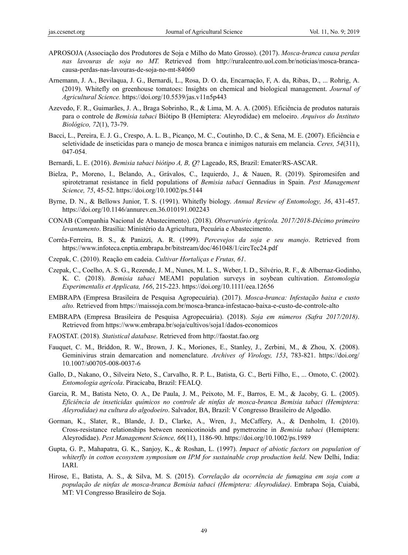- APROSOJA (Associação dos Produtores de Soja e Milho do Mato Grosso). (2017). *Mosca-branca causa perdas nas lavouras de soja no MT.* Retrieved from http://ruralcentro.uol.com.br/noticias/mosca-brancacausa-perdas-nas-lavouras-de-soja-no-mt-84060
- Arnemann, J. A., Bevilaqua, J. G., Bernardi, L., Rosa, D. O. da, Encarnação, F, A. da, Ribas, D., ... Rohrig, A. (2019). Whitefly on greenhouse tomatoes: Insights on chemical and biological management. *Journal of Agricultural Science.* https://doi.org/10.5539/jas.v11n5p443
- Azevedo, F. R., Guimarães, J. A., Braga Sobrinho, R., & Lima, M. A. A. (2005). Eficiência de produtos naturais para o controle de *Bemisia tabaci* Biótipo B (Hemiptera: Aleyrodidae) em meloeiro. *Arquivos do Instituto Biológico, 72*(1), 73-79.
- Bacci, L., Pereira, E. J. G., Crespo, A. L. B., Picanço, M. C., Coutinho, D. C., & Sena, M. E. (2007). Eficiência e seletividade de inseticidas para o manejo de mosca branca e inimigos naturais em melancia. *Ceres, 54*(311), 047-054.
- Bernardi, L. E. (2016). *Bemisia tabaci biótipo A, B, Q*? Lageado, RS, Brazil: Emater/RS-ASCAR.
- Bielza, P., Moreno, I., Belando, A., Grávalos, C., Izquierdo, J., & Nauen, R. (2019). Spiromesifen and spirotetramat resistance in field populations of *Bemisia tabaci* Gennadius in Spain. *Pest Management Science, 75*, 45-52. https://doi.org/10.1002/ps.5144
- Byrne, D. N., & Bellows Junior, T. S. (1991). Whitefly biology. *Annual Review of Entomology, 36*, 431-457. https://doi.org/10.1146/annurev.en.36.010191.002243
- CONAB (Companhia Nacional de Abastecimento). (2018). *Observatório Agrícola. 2017/2018-Décimo primeiro levantamento*. Brasília: Ministério da Agricultura, Pecuária e Abastecimento.
- Corrêa-Ferreira, B. S., & Panizzi, A. R. (1999). *Percevejos da soja e seu manejo*. Retrieved from https://www.infoteca.cnptia.embrapa.br/bitstream/doc/461048/1/circTec24.pdf
- Czepak, C. (2010). Reação em cadeia. *Cultivar Hortaliças e Frutas, 61*.
- Czepak, C., Coelho, A. S. G., Rezende, J. M., Nunes, M. L. S., Weber, I. D., Silvério, R. F., & Albernaz-Godinho, K. C. (2018). *Bemisia tabaci* MEAM1 population surveys in soybean cultivation. *Entomologia Experimentalis et Applicata, 166*, 215-223. https://doi.org/10.1111/eea.12656
- EMBRAPA (Empresa Brasileira de Pesquisa Agropecuária). (2017). *Mosca-branca: Infestação baixa e custo alto.* Retrieved from https://maissoja.com.br/mosca-branca-infestacao-baixa-e-custo-de-controle-alto
- EMBRAPA (Empresa Brasileira de Pesquisa Agropecuária). (2018). *Soja em números (Safra 2017/2018)*. Retrieved from https://www.embrapa.br/soja/cultivos/soja1/dados-economicos
- FAOSTAT. (2018)*. Statistical database*. Retrieved from http://faostat.fao.org
- Fauquet, C. M., Briddon, R. W., Brown, J. K., Moriones, E., Stanley, J., Zerbini, M., & Zhou, X. (2008). Geminivirus strain demarcation and nomenclature. *Archives of Virology, 153*, 783-821. https://doi.org/ 10.1007/s00705-008-0037-6
- Gallo, D., Nakano, O., Silveira Neto, S., Carvalho, R. P. L., Batista, G. C., Berti Filho, E., ... Omoto, C. (2002). *Entomologia agrícola*. Piracicaba, Brazil: FEALQ.
- Garcia, R. M., Batista Neto, O. A., De Paula, J. M., Peixoto, M. F., Barros, E. M., & Jacoby, G. L. (2005). *Eficiência de inseticidas químicos no controle de ninfas de mosca-branca Bemisia tabaci (Hemiptera: Aleyrodidae) na cultura do algodoeiro*. Salvador, BA, Brazil: V Congresso Brasileiro de Algodão.
- Gorman, K., Slater, R., Blande, J. D., Clarke, A., Wren, J., McCaffery, A., & Denholm, I. (2010). Cross-resistance relationships between neonicotinoids and pymetrozine in *Bemisia tabaci* (Hemiptera: Aleyrodidae). *Pest Management Science, 66*(11), 1186-90. https://doi.org/10.1002/ps.1989
- Gupta, G. P., Mahapatra, G. K., Sanjoy, K., & Roshan, L. (1997). *Impact of abiotic factors on population of whiterfly in cotton ecosystem symposium on IPM for sustainable crop production held.* New Delhi, India: IARI.
- Hirose, E., Batista, A. S., & Silva, M. S. (2015). *Correlação da ocorrência de fumagina em soja com a população de ninfas de mosca-branca Bemisia tabaci (Hemiptera: Aleyrodidae)*. Embrapa Soja, Cuiabá, MT: VI Congresso Brasileiro de Soja.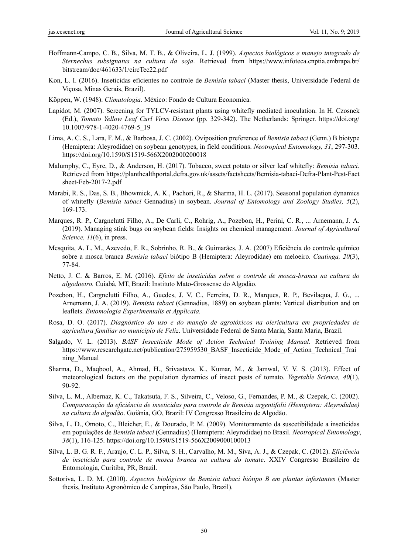- Hoffmann-Campo, C. B., Silva, M. T. B., & Oliveira, L. J. (1999). *Aspectos biológicos e manejo integrado de Sternechus subsignatus na cultura da soja*. Retrieved from https://www.infoteca.cnptia.embrapa.br/ bitstream/doc/461633/1/circTec22.pdf
- Kon, L. I. (2016). Inseticidas eficientes no controle de *Bemisia tabaci* (Master thesis, Universidade Federal de Viçosa, Minas Gerais, Brazil).
- Köppen, W. (1948). *Climatologia*. México: Fondo de Cultura Economica.
- Lapidot, M. (2007). Screening for TYLCV-resistant plants using whitefly mediated inoculation. In H. Czosnek (Ed.), *Tomato Yellow Leaf Curl Virus Disease* (pp. 329-342). The Netherlands: Springer. https://doi.org/ 10.1007/978-1-4020-4769-5\_19
- Lima, A. C. S., Lara, F. M., & Barbosa, J. C. (2002). Oviposition preference of *Bemisia tabaci* (Genn.) B biotype (Hemiptera: Aleyrodidae) on soybean genotypes, in field conditions. *Neotropical Entomology, 31*, 297-303. https://doi.org/10.1590/S1519-566X2002000200018
- Malumphy, C., Eyre, D., & Anderson, H. (2017). Tobacco, sweet potato or silver leaf whitefly: *Bemisia tabaci*. Retrieved from https://planthealthportal.defra.gov.uk/assets/factsheets/Bemisia-tabaci-Defra-Plant-Pest-Fact sheet-Feb-2017-2.pdf
- Marabi, R. S., Das, S. B., Bhowmick, A. K., Pachori, R., & Sharma, H. L. (2017). Seasonal population dynamics of whitefly (*Bemisia tabaci* Gennadius) in soybean. *Journal of Entomology and Zoology Studies, 5*(2), 169-173.
- Marques, R. P., Cargnelutti Filho, A., De Carli, C., Rohrig, A., Pozebon, H., Perini, C. R., ... Arnemann, J. A. (2019). Managing stink bugs on soybean fields: Insights on chemical management. *Journal of Agricultural Science, 11*(6), in press.
- Mesquita, A. L. M., Azevedo, F. R., Sobrinho, R. B., & Guimarães, J. A. (2007) Eficiência do controle químico sobre a mosca branca *Bemisia tabaci* biótipo B (Hemiptera: Aleyrodidae) em meloeiro. *Caatinga, 20*(3), 77-84.
- Netto, J. C. & Barros, E. M. (2016). *Efeito de inseticidas sobre o controle de mosca-branca na cultura do algodoeiro.* Cuiabá, MT, Brazil: Instituto Mato-Grossense do Algodão.
- Pozebon, H., Cargnelutti Filho, A., Guedes, J. V. C., Ferreira, D. R., Marques, R. P., Bevilaqua, J. G., ... Arnemann, J. A. (2019). *Bemisia tabaci* (Gennadius, 1889) on soybean plants: Vertical distribution and on leaflets. *Entomologia Experimentalis et Applicata.*
- Rosa, D. O. (2017). *Diagnóstico do uso e do manejo de agrotóxicos na olericultura em propriedades de agricultura familiar no município de Feliz*. Universidade Federal de Santa Maria, Santa Maria, Brazil.
- Salgado, V. L. (2013). *BASF Insecticide Mode of Action Technical Training Manual*. Retrieved from https://www.researchgate.net/publication/275959530\_BASF\_Insecticide\_Mode\_of\_Action\_Technical\_Trai ning\_Manual
- Sharma, D., Maqbool, A., Ahmad, H., Srivastava, K., Kumar, M., & Jamwal, V. V. S. (2013). Effect of meteorological factors on the population dynamics of insect pests of tomato. *Vegetable Science, 40*(1), 90-92.
- Silva, L. M., Albernaz, K. C., Takatsuta, F. S., Silveira, C., Veloso, G., Fernandes, P. M., & Czepak, C. (2002). *Comparacação da eficiência de inseticidas para controle de Bemisia argentifolii (Hemiptera: Aleyrodidae) na cultura do algodão*. Goiânia, GO, Brazil: IV Congresso Brasileiro de Algodão.
- Silva, L. D., Omoto, C., Bleicher, E., & Dourado, P. M. (2009). Monitoramento da suscetibilidade a inseticidas em populações de *Bemisia tabaci* (Gennadius) (Hemiptera: Aleyrodidae) no Brasil. *Neotropical Entomology*, *38*(1), 116-125. https://doi.org/10.1590/S1519-566X2009000100013
- Silva, L. B. G. R. F., Araujo, C. L. P., Silva, S. H., Carvalho, M. M., Siva, A. J., & Czepak, C. (2012). *Eficiência de inseticida para controle de mosca branca na cultura do tomate*. XXIV Congresso Brasileiro de Entomologia, Curitiba, PR, Brazil.
- Sottoriva, L. D. M. (2010). *Aspectos biológicos de Bemisia tabaci biótipo B em plantas infestantes* (Master thesis, Instituto Agronômico de Campinas, São Paulo, Brazil).